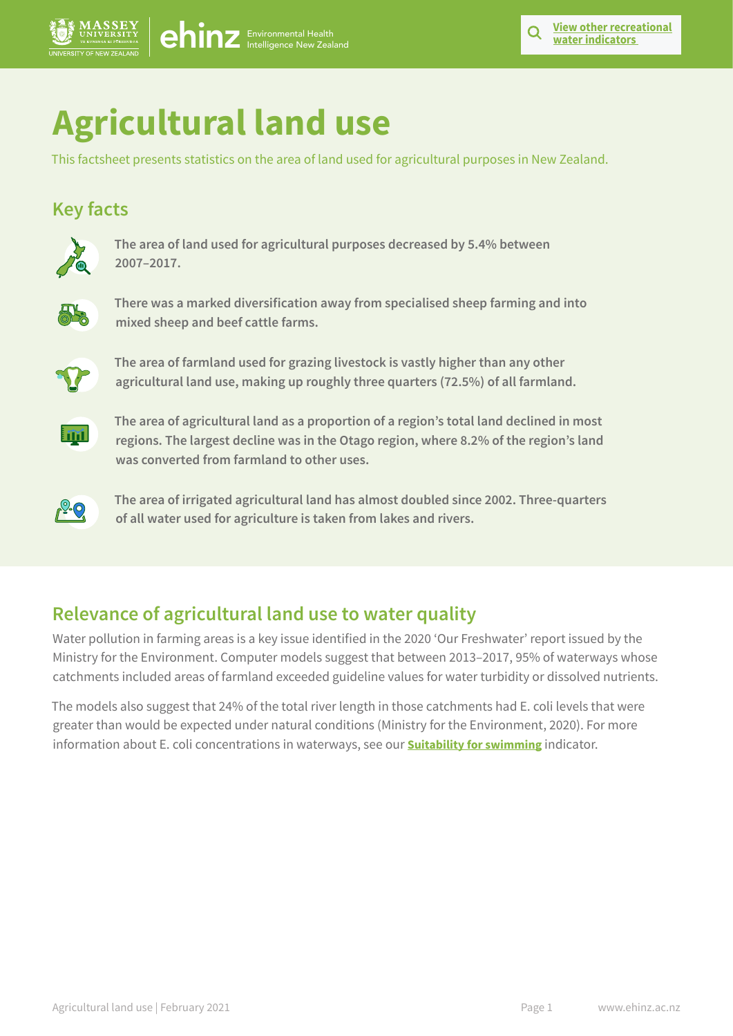# **Agricultural land use**

This factsheet presents statistics on the area of land used for agricultural purposes in New Zealand.

## **Key facts**



**The area of land used for agricultural purposes decreased by 5.4% between 2007–2017.**



**There was a marked diversification away from specialised sheep farming and into mixed sheep and beef cattle farms.**



**The area of farmland used for grazing livestock is vastly higher than any other agricultural land use, making up roughly three quarters (72.5%) of all farmland.**



**The area of agricultural land as a proportion of a region's total land declined in most regions. The largest decline was in the Otago region, where 8.2% of the region's land was converted from farmland to other uses.**



**The area of irrigated agricultural land has almost doubled since 2002. Three-quarters of all water used for agriculture is taken from lakes and rivers.**

# **Relevance of agricultural land use to water quality**

Water pollution in farming areas is a key issue identified in the 2020 'Our Freshwater' report issued by the Ministry for the Environment. Computer models suggest that between 2013–2017, 95% of waterways whose catchments included areas of farmland exceeded guideline values for water turbidity or dissolved nutrients.

The models also suggest that 24% of the total river length in those catchments had E. coli levels that were greater than would be expected under natural conditions (Ministry for the Environment, 2020). For more information about E. coli concentrations in waterways, see our **[Suitability for swimming](https://ehinz.ac.nz/indicators/recreational-water/suitability-for-swimming/)** indicator.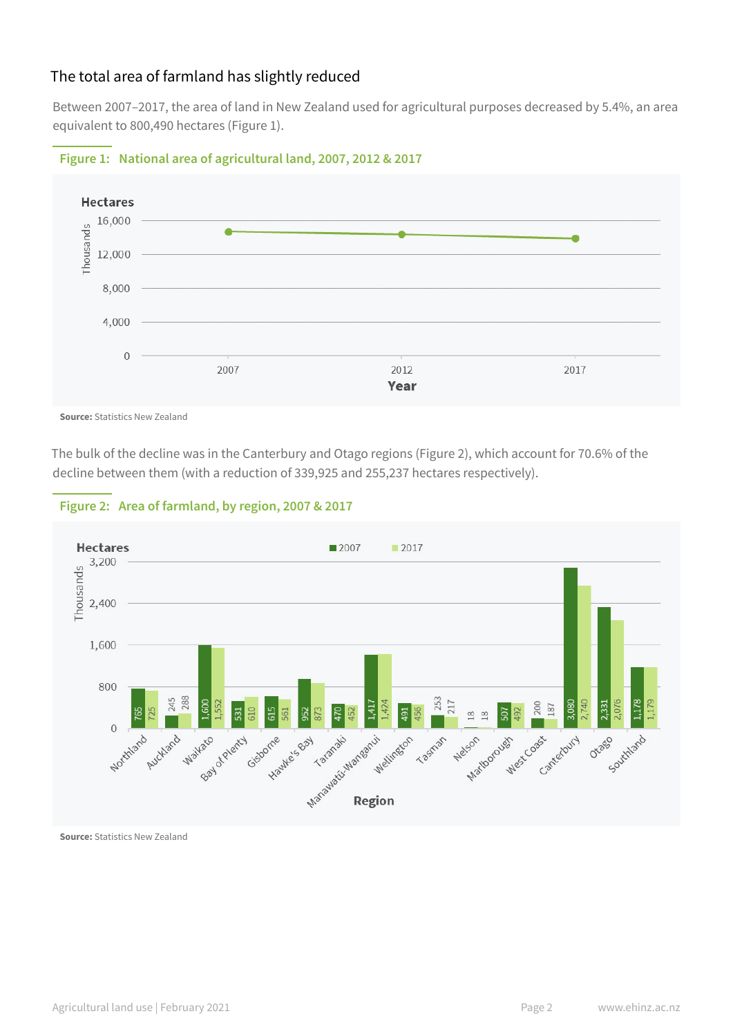## The total area of farmland has slightly reduced

Between 2007–2017, the area of land in New Zealand used for agricultural purposes decreased by 5.4%, an area equivalent to 800,490 hectares (Figure 1).



#### **Figure 1: National area of agricultural land, 2007, 2012 & 2017**

**Source:** Statistics New Zealand

The bulk of the decline was in the Canterbury and Otago regions (Figure 2), which account for 70.6% of the decline between them (with a reduction of 339,925 and 255,237 hectares respectively).



#### **Figure 2: Area of farmland, by region, 2007 & 2017**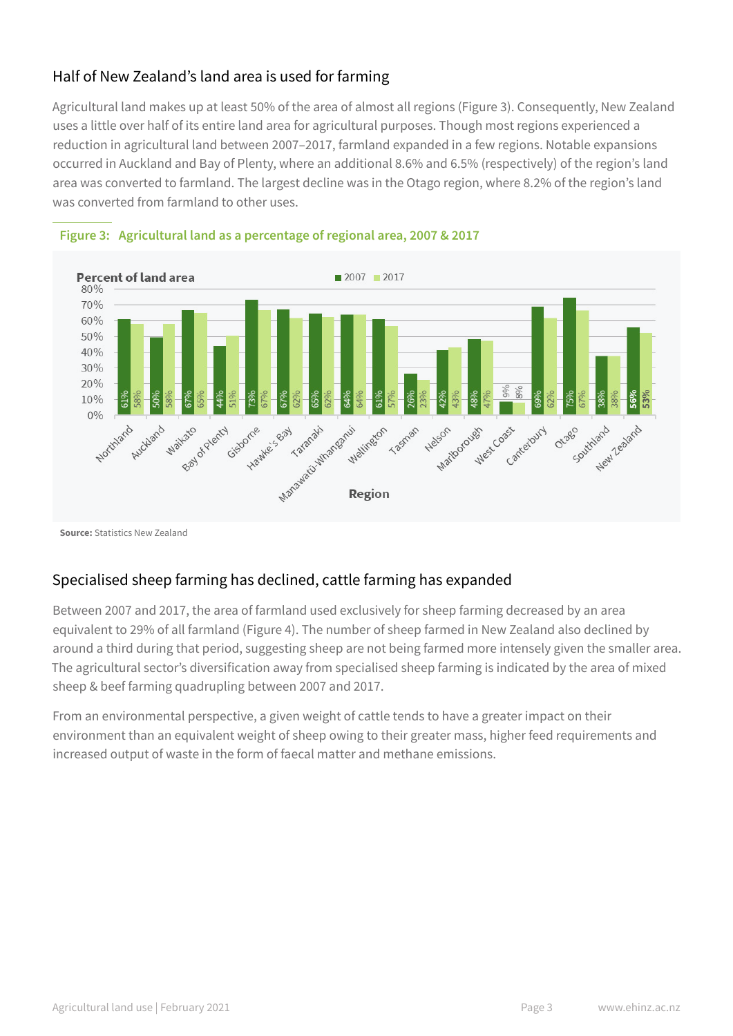## Half of New Zealand's land area is used for farming

Agricultural land makes up at least 50% of the area of almost all regions (Figure 3). Consequently, New Zealand uses a little over half of its entire land area for agricultural purposes. Though most regions experienced a reduction in agricultural land between 2007–2017, farmland expanded in a few regions. Notable expansions occurred in Auckland and Bay of Plenty, where an additional 8.6% and 6.5% (respectively) of the region's land area was converted to farmland. The largest decline was in the Otago region, where 8.2% of the region's land was converted from farmland to other uses.





**Source:** Statistics New Zealand

## Specialised sheep farming has declined, cattle farming has expanded

Between 2007 and 2017, the area of farmland used exclusively for sheep farming decreased by an area equivalent to 29% of all farmland (Figure 4). The number of sheep farmed in New Zealand also declined by around a third during that period, suggesting sheep are not being farmed more intensely given the smaller area. The agricultural sector's diversification away from specialised sheep farming is indicated by the area of mixed sheep & beef farming quadrupling between 2007 and 2017.

From an environmental perspective, a given weight of cattle tends to have a greater impact on their environment than an equivalent weight of sheep owing to their greater mass, higher feed requirements and increased output of waste in the form of faecal matter and methane emissions.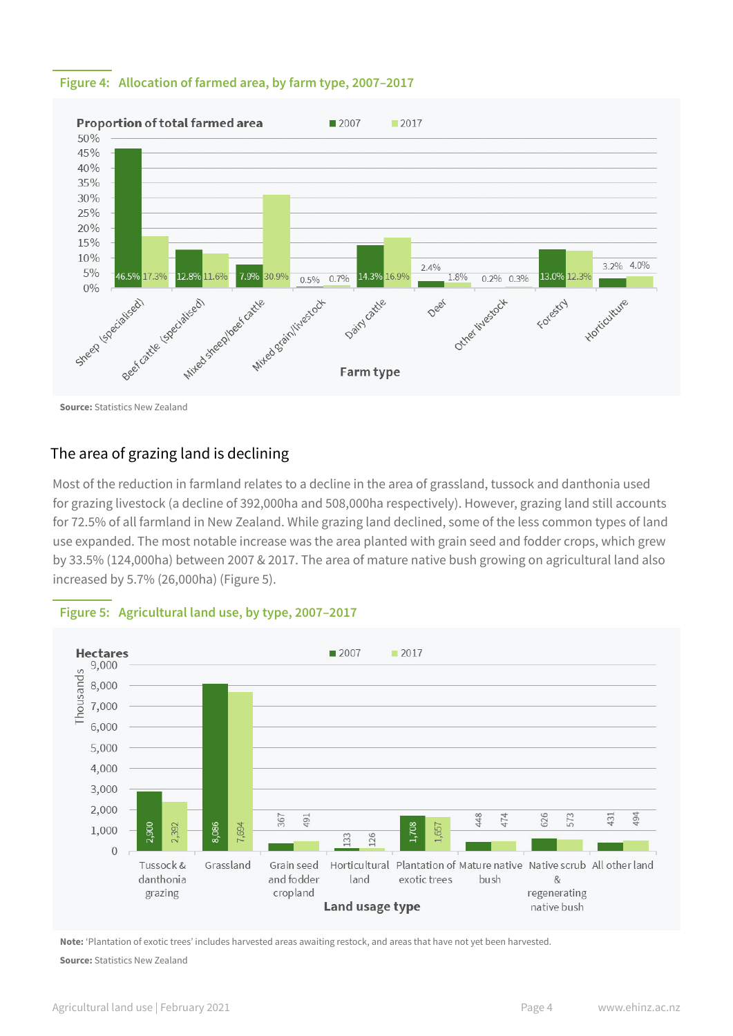#### **Figure 4: Allocation of farmed area, by farm type, 2007–2017**



## The area of grazing land is declining

Most of the reduction in farmland relates to a decline in the area of grassland, tussock and danthonia used for grazing livestock (a decline of 392,000ha and 508,000ha respectively). However, grazing land still accounts for 72.5% of all farmland in New Zealand. While grazing land declined, some of the less common types of land use expanded. The most notable increase was the area planted with grain seed and fodder crops, which grew by 33.5% (124,000ha) between 2007 & 2017. The area of mature native bush growing on agricultural land also increased by 5.7% (26,000ha) (Figure 5).



#### **Figure 5: Agricultural land use, by type, 2007–2017**

**Note:** 'Plantation of exotic trees' includes harvested areas awaiting restock, and areas that have not yet been harvested.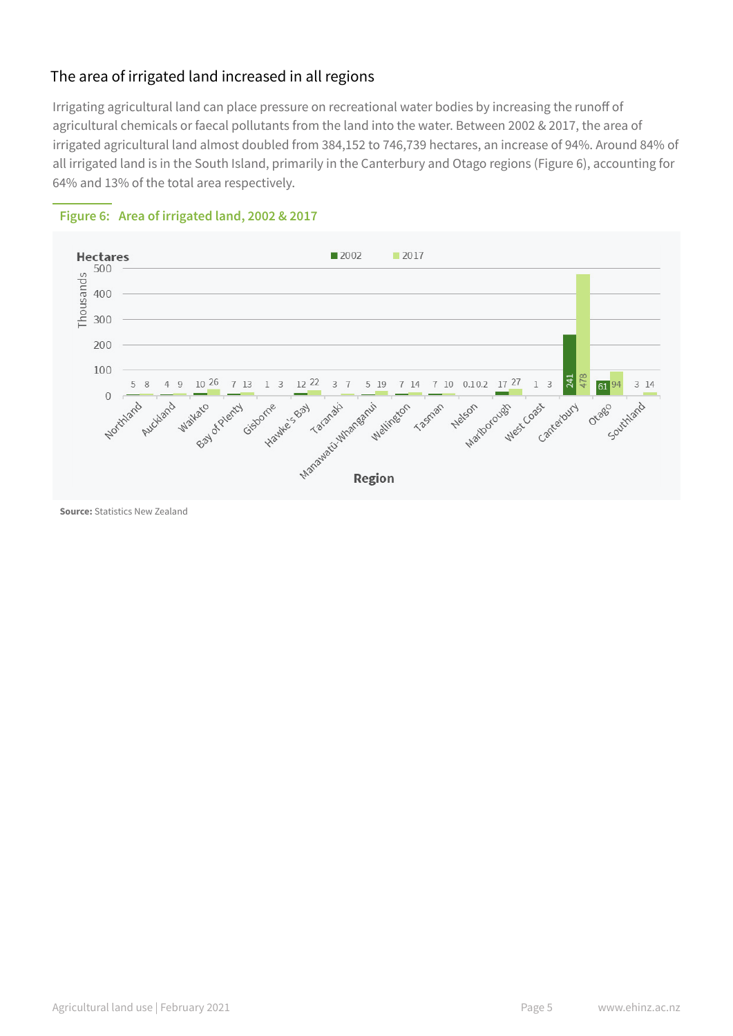## The area of irrigated land increased in all regions

Irrigating agricultural land can place pressure on recreational water bodies by increasing the runoff of agricultural chemicals or faecal pollutants from the land into the water. Between 2002 & 2017, the area of irrigated agricultural land almost doubled from 384,152 to 746,739 hectares, an increase of 94%. Around 84% of all irrigated land is in the South Island, primarily in the Canterbury and Otago regions (Figure 6), accounting for 64% and 13% of the total area respectively.



#### **Figure 6: Area of irrigated land, 2002 & 2017**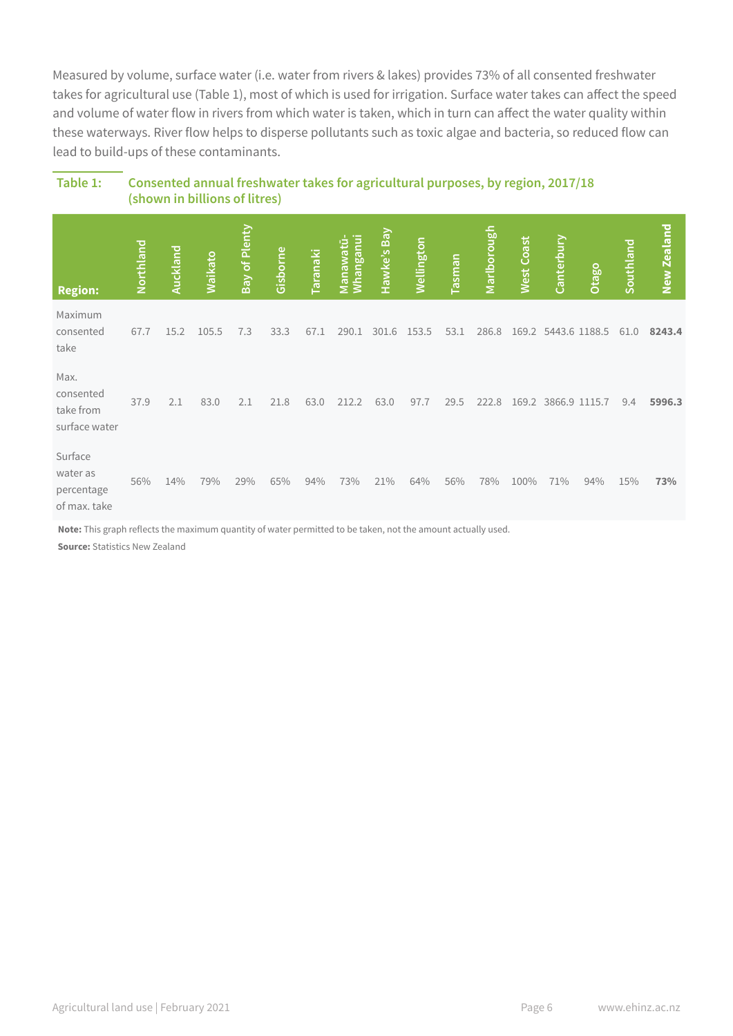Measured by volume, surface water (i.e. water from rivers & lakes) provides 73% of all consented freshwater takes for agricultural use (Table 1), most of which is used for irrigation. Surface water takes can affect the speed and volume of water flow in rivers from which water is taken, which in turn can affect the water quality within these waterways. River flow helps to disperse pollutants such as toxic algae and bacteria, so reduced flow can lead to build-ups of these contaminants.

| <b>Region:</b>                                    | Northland | Auckland | Waikato | Bay of Plenty | Gisborne | Taranaki | Manawatū-<br>Whanganui | Hawke's Bay | <b>Wellington</b> | Tasman | Marlborough | West Coast | Canterbury | Otago         | Southland | New Zealand |
|---------------------------------------------------|-----------|----------|---------|---------------|----------|----------|------------------------|-------------|-------------------|--------|-------------|------------|------------|---------------|-----------|-------------|
| Maximum<br>consented<br>take                      | 67.7      | 15.2     | 105.5   | 7.3           | 33.3     | 67.1     | 290.1                  | 301.6       | 153.5             | 53.1   | 286.8       | 169.2      |            | 5443.6 1188.5 | 61.0      | 8243.4      |
| Max.<br>consented<br>take from<br>surface water   | 37.9      | 2.1      | 83.0    | 2.1           | 21.8     | 63.0     | 212.2                  | 63.0        | 97.7              | 29.5   | 222.8       | 169.2      |            | 3866.9 1115.7 | 9.4       | 5996.3      |
| Surface<br>water as<br>percentage<br>of max. take | 56%       | 14%      | 79%     | 29%           | 65%      | 94%      | 73%                    | 21%         | 64%               | 56%    | 78%         | 100%       | 71%        | 94%           | 15%       | 73%         |

## **Table 1: Consented annual freshwater takes for agricultural purposes, by region, 2017/18 (shown in billions of litres)**

**Note:** This graph reflects the maximum quantity of water permitted to be taken, not the amount actually used.